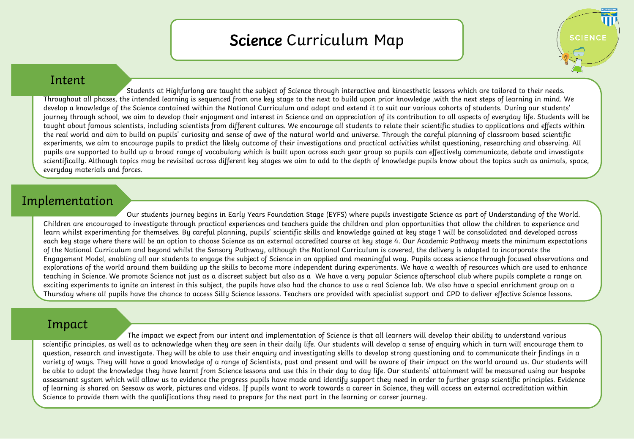## Science Curriculum Map

**SCIENCI** 

## Intent

Students at Highfurlong are taught the subject of Science through interactive and kinaesthetic lessons which are tailored to their needs. Throughout all phases, the intended learning is sequenced from one key stage to the next to build upon prior knowledge ,with the next steps of learning in mind. We develop a knowledge of the Science contained within the National Curriculum and adapt and extend it to suit our various cohorts of students. During our students' journey through school, we aim to develop their enjoyment and interest in Science and an appreciation of its contribution to all aspects of everyday life. Students will be taught about famous scientists, including scientists from different cultures. We encourage all students to relate their scientific studies to applications and effects within the real world and aim to build on pupils' curiosity and sense of awe of the natural world and universe. Through the careful planning of classroom based scientific experiments, we aim to encourage pupils to predict the likely outcome of their investigations and practical activities whilst questioning, researching and observing. All pupils are supported to build up a broad range of vocabulary which is built upon across each year group so pupils can effectively communicate, debate and investigate scientifically. Although topics may be revisited across different key stages we aim to add to the depth of knowledge pupils know about the topics such as animals, space, everyday materials and forces.

## Implementation

Our students journey begins in Early Years Foundation Stage (EYFS) where pupils investigate Science as part of Understanding of the World. Children are encouraged to investigate through practical experiences and teachers guide the children and plan opportunities that allow the children to experience and learn whilst experimenting for themselves. By careful planning, pupils' scientific skills and knowledge gained at key stage 1 will be consolidated and developed across each key stage where there will be an option to choose Science as an external accredited course at key stage 4. Our Academic Pathway meets the minimum expectations of the National Curriculum and beyond whilst the Sensory Pathway, although the National Curriculum is covered, the delivery is adapted to incorporate the Engagement Model, enabling all our students to engage the subject of Science in an applied and meaningful way. Pupils access science through focused observations and explorations of the world around them building up the skills to become more independent during experiments. We have a wealth of resources which are used to enhance teaching in Science. We promote Science not just as a discreet subject but also as a We have a very popular Science afterschool club where pupils complete a range on exciting experiments to ignite an interest in this subject, the pupils have also had the chance to use a real Science lab. We also have a special enrichment group on a Thursday where all pupils have the chance to access Silly Science lessons. Teachers are provided with specialist support and CPD to deliver effective Science lessons.

## Impact

The impact we expect from our intent and implementation of Science is that all learners will develop their ability to understand various scientific principles, as well as to acknowledge when they are seen in their daily life. Our students will develop a sense of enquiry which in turn will encourage them to question, research and investigate. They will be able to use their enquiry and investigating skills to develop strong questioning and to communicate their findings in a variety of ways. They will have a good knowledge of a range of Scientists, past and present and will be aware of their impact on the world around us. Our students will be able to adapt the knowledge they have learnt from Science lessons and use this in their day to day life. Our students' attainment will be measured using our bespoke assessment system which will allow us to evidence the progress pupils have made and identify support they need in order to further grasp scientific principles. Evidence of learning is shared on Seesaw as work, pictures and videos. If pupils want to work towards a career in Science, they will access an external accreditation within Science to provide them with the qualifications they need to prepare for the next part in the learning or career journey.